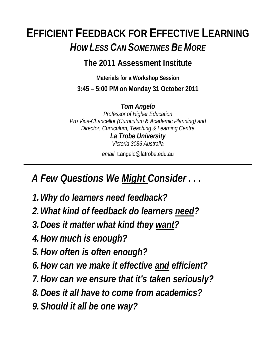### **EFFICIENT FEEDBACK FOR EFFECTIVE LEARNING** *HOW LESS CAN SOMETIMES BE MORE*

#### **The 2011 Assessment Institute**

**Materials for a Workshop Session 3:45 – 5:00 PM on Monday 31 October 2011** 

*Tom Angelo Professor of Higher Education Pro Vice-Chancellor (Curriculum & Academic Planning) and Director, Curriculum, Teaching & Learning Centre La Trobe University Victoria 3086 Australia*

*email* t.angelo@latrobe.edu.au

 *A Few Questions We Might Consider . . .* 

- *1.Why do learners need feedback?*
- *2.What kind of feedback do learners need?*
- *3.Does it matter what kind they want?*
- *4.How much is enough?*
- *5.How often is often enough?*
- *6.How can we make it effective and efficient?*
- *7.How can we ensure that it's taken seriously?*
- *8.Does it all have to come from academics?*
- *9.Should it all be one way?*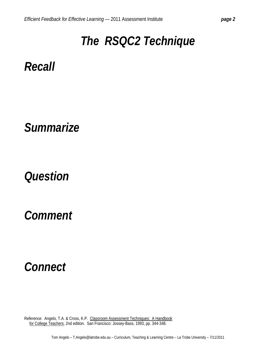## *The RSQC2 Technique*

*Recall* 

*Summarize* 

### *Question*

*Comment* 

### *Connect*

Reference: Angelo, T.A. & Cross, K.P. Classroom Assessment Techniques: A Handbook for College Teachers, 2nd edition. San Francisco: Jossey-Bass, 1993, pp. 344-348.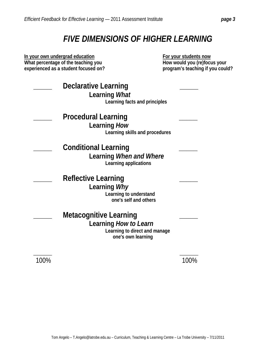#### *FIVE DIMENSIONS OF HIGHER LEARNING*

**In your own undergrad education What percentage of the teaching you experienced as a student focused on?** 

 **For your students now How would you (re)focus your program's teaching if you could?** 

| <b>Declarative Learning</b><br>Learning <i>What</i><br>Learning facts and principles                          |  |
|---------------------------------------------------------------------------------------------------------------|--|
| <b>Procedural Learning</b><br>Learning How<br>Learning skills and procedures                                  |  |
| <b>Conditional Learning</b><br>Learning When and Where<br>Learning applications                               |  |
| <b>Reflective Learning</b><br>Learning Why<br>Learning to understand<br>one's self and others                 |  |
| <b>Metacognitive Learning</b><br>Learning How to Learn<br>Learning to direct and manage<br>one's own learning |  |
|                                                                                                               |  |

100% 100%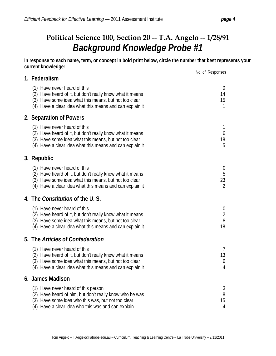#### **Political Science 100, Section 20 -- T.A. Angelo -- 1/28/91** *Background Knowledge Probe #1*

**In response to each name, term, or concept in bold print below, circle the number that best represents your current knowledge:** 

|                                                                                                                                                                                                                  | No. of Responses                                                |
|------------------------------------------------------------------------------------------------------------------------------------------------------------------------------------------------------------------|-----------------------------------------------------------------|
| 1. Federalism                                                                                                                                                                                                    |                                                                 |
| (1) Have never heard of this<br>(2) Have heard of it, but don't really know what it means<br>(3) Have some idea what this means, but not too clear<br>(4) Have a clear idea what this means and can explain it   | $\theta$<br>14<br>15<br>$\mathbf{1}$                            |
| 2. Separation of Powers                                                                                                                                                                                          |                                                                 |
| (1) Have never heard of this<br>(2) Have heard of it, but don't really know what it means<br>(3) Have some idea what this means, but not too clear<br>(4) Have a clear idea what this means and can explain it   | 1<br>6<br>18<br>5                                               |
| 3. Republic                                                                                                                                                                                                      |                                                                 |
| (1) Have never heard of this<br>(2) Have heard of it, but don't really know what it means<br>(3) Have some idea what this means, but not too clear<br>(4) Have a clear idea what this means and can explain it   | $\boldsymbol{0}$<br>5<br>23<br>$\overline{2}$                   |
| 4. The <i>Constitution</i> of the U.S.                                                                                                                                                                           |                                                                 |
| (1) Have never heard of this<br>(2) Have heard of it, but don't really know what it means<br>(3) Have some idea what this means, but not too clear<br>(4) Have a clear idea what this means and can explain it   | $\boldsymbol{0}$<br>$\begin{array}{c} 2 \\ 8 \end{array}$<br>18 |
| 5. The Articles of Confederation                                                                                                                                                                                 |                                                                 |
| (1) Have never heard of this<br>(2) Have heard of it, but don't really know what it means<br>(3) Have some idea what this means, but not too clear<br>(4) Have a clear idea what this means and can explain it   | 7<br>13<br>6<br>4                                               |
| 6. James Madison                                                                                                                                                                                                 |                                                                 |
| (1) Have never heard of this person<br>Have heard of him, but don't really know who he was<br>(2)<br>Have some idea who this was, but not too clear<br>(3)<br>(4) Have a clear idea who this was and can explain | 3<br>8<br>15<br>4                                               |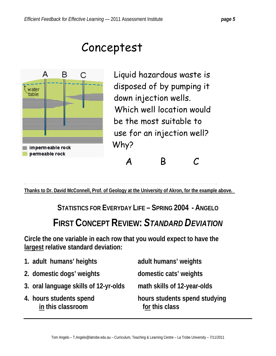### Conceptest



Liquid hazardous waste is disposed of by pumping it down injection wells. Which well location would be the most suitable to use for an injection well? Why?

ABC

**Thanks to Dr. David McConnell, Prof. of Geology at the University of Akron, for the example above.** 

**STATISTICS FOR EVERYDAY LIFE – SPRING 2004 - ANGELO**

### **FIRST CONCEPT REVIEW:** *STANDARD DEVIATION*

**Circle the one variable in each row that you would expect to have the largest relative standard deviation:** 

| 1. adult humans' heights                     | adult humans' weights                           |
|----------------------------------------------|-------------------------------------------------|
| 2. domestic dogs' weights                    | domestic cats' weights                          |
| 3. oral language skills of 12-yr-olds        | math skills of 12-year-olds                     |
| 4. hours students spend<br>in this classroom | hours students spend studying<br>for this class |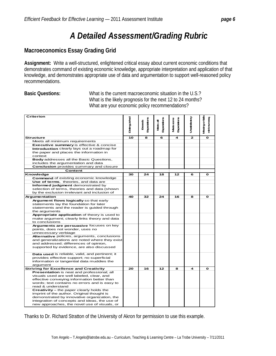#### *A Detailed Assessment/Grading Rubric*

#### **Macroeconomics Essay Grading Grid**

**Assignment:** Write a well-structured, enlightened critical essay about current economic conditions that demonstrates command of existing economic knowledge, appropriate interpretation and application of that knowledge, and demonstrates appropriate use of data and argumentation to support well-reasoned policy recommendations.

**Basic Questions:** What is the current macroeconomic situation in the U.S.? What is the likely prognosis for the next 12 to 24 months? What are your economic policy recommendations?

| Criterion                                                                                     |    | <b>Expectations</b><br>Excepts | <b>Expectations</b><br>₹<br><b>Meets</b> | Expediators<br><b>Madssorre</b> | Unatistatoy  | Mesing or fails<br>minimumeg |
|-----------------------------------------------------------------------------------------------|----|--------------------------------|------------------------------------------|---------------------------------|--------------|------------------------------|
| <b>Structure</b>                                                                              | 10 | 8                              | 6                                        | 4                               | $\mathbf{z}$ | $\mathbf{o}$                 |
| Meets all minimum requirements                                                                |    |                                |                                          |                                 |              |                              |
| Executive summary is effective & concise                                                      |    |                                |                                          |                                 |              |                              |
| Introduction clearly lays out a roadmap for                                                   |    |                                |                                          |                                 |              |                              |
| the paper and places the information in                                                       |    |                                |                                          |                                 |              |                              |
| context                                                                                       |    |                                |                                          |                                 |              |                              |
| Body addresses all the Basic Questions,                                                       |    |                                |                                          |                                 |              |                              |
| includes the argumentation and data                                                           |    |                                |                                          |                                 |              |                              |
| Conclusion provides summary and closure                                                       |    |                                |                                          |                                 |              |                              |
| Content                                                                                       |    |                                |                                          |                                 |              |                              |
| Knowledge                                                                                     | 30 | 24                             | 18                                       | 12                              | 6            | o                            |
| <b>Command</b> of existing economic knowledge                                                 |    |                                |                                          |                                 |              |                              |
| Use of terms, theories, and data are                                                          |    |                                |                                          |                                 |              |                              |
| Informed judgment demonstrated by                                                             |    |                                |                                          |                                 |              |                              |
| selection of terms, theories and data (shown                                                  |    |                                |                                          |                                 |              |                              |
| by the exclusion irrelevant and inclusion of                                                  |    |                                |                                          |                                 |              |                              |
| Argumentation                                                                                 | 40 | 32                             | 24                                       | 16                              | 8            | O                            |
| Argument flows logically so that early                                                        |    |                                |                                          |                                 |              |                              |
| statements lay the foundation for later                                                       |    |                                |                                          |                                 |              |                              |
| statements and the reader is guided through                                                   |    |                                |                                          |                                 |              |                              |
| the arguments                                                                                 |    |                                |                                          |                                 |              |                              |
| Appropriate application of theory is used to                                                  |    |                                |                                          |                                 |              |                              |
| make argument; clearly links theory and data                                                  |    |                                |                                          |                                 |              |                              |
| to conclusions                                                                                |    |                                |                                          |                                 |              |                              |
| Arguments are persuasive focuses on key<br>points, does not wonder, uses no                   |    |                                |                                          |                                 |              |                              |
| unnecessary verbiage                                                                          |    |                                |                                          |                                 |              |                              |
| Alternative policies, arguments, conclusions                                                  |    |                                |                                          |                                 |              |                              |
| and generalizations are noted where they exist                                                |    |                                |                                          |                                 |              |                              |
| and addressed; differences of opinion,                                                        |    |                                |                                          |                                 |              |                              |
| supported by evidence, are also discussed                                                     |    |                                |                                          |                                 |              |                              |
|                                                                                               |    |                                |                                          |                                 |              |                              |
| Data used is reliable, valid, and pertinent; it                                               |    |                                |                                          |                                 |              |                              |
| provides effective support; no superficial                                                    |    |                                |                                          |                                 |              |                              |
| information or tangential data muddies the                                                    |    |                                |                                          |                                 |              |                              |
| argument                                                                                      |    |                                |                                          |                                 |              |                              |
| <b>Striving for Excellence and Creativity</b>                                                 | 20 | 16                             | 12                                       | 8                               | 4            | O                            |
| Presentation is neat and professional; all                                                    |    |                                |                                          |                                 |              |                              |
| visuals used are well labeled, clear, and                                                     |    |                                |                                          |                                 |              |                              |
| effective conveying information better than                                                   |    |                                |                                          |                                 |              |                              |
| words; text contains no errors and is easy to                                                 |    |                                |                                          |                                 |              |                              |
| read & understand                                                                             |    |                                |                                          |                                 |              |                              |
| Creativity - the paper clearly holds the                                                      |    |                                |                                          |                                 |              |                              |
| imprint of the author. Original thought is                                                    |    |                                |                                          |                                 |              |                              |
| demonstrated by innovative organization, the<br>integration of concepts and ideas, the use of |    |                                |                                          |                                 |              |                              |
| new approaches, the novel use of visuals, or                                                  |    |                                |                                          |                                 |              |                              |
|                                                                                               |    |                                |                                          |                                 |              |                              |

Thanks to Dr. Richard Stratton of the University of Akron for permission to use this example.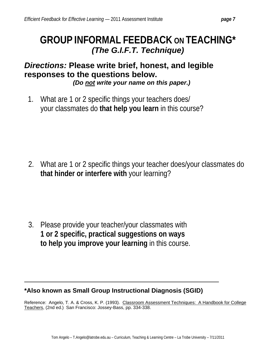### **GROUP INFORMAL FEEDBACK ON TEACHING\***  *(The G.I.F.T. Technique)*

#### *Directions:* **Please write brief, honest, and legible responses to the questions below.**

 *(Do not write your name on this paper.)* 

 1. What are 1 or 2 specific things your teachers does/ your classmates do **that help you learn** in this course?

2. What are 1 or 2 specific things your teacher does/your classmates do **that hinder or interfere with** your learning?

3. Please provide your teacher/your classmates with **1 or 2 specific, practical suggestions on ways to help you improve your learning** in this course.

#### **\*Also known as Small Group Instructional Diagnosis (SGID)**

Reference: Angelo, T. A. & Cross, K. P. (1993). Classroom Assessment Techniques: A Handbook for College Teachers, (2nd ed.) San Francisco: Jossey-Bass, pp. 334-338.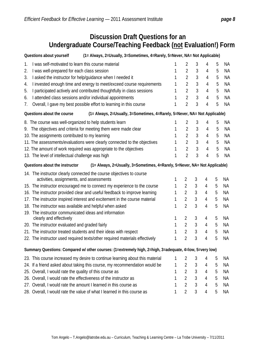#### **Discussion Draft Questions for an Undergraduate Course/Teaching Feedback (not Evaluation!) Form**

| (1= Always, 2=Usually, 3=Sometimes, 4=Rarely, 5=Never, NA= Not Applicable)<br>Questions about yourself       |   |                |   |                |   |           |
|--------------------------------------------------------------------------------------------------------------|---|----------------|---|----------------|---|-----------|
| I was self-motivated to learn this course material<br>1.                                                     |   | 2              | 3 | 4              | 5 | ΝA        |
| I was well-prepared for each class session<br>2.                                                             |   | $\overline{2}$ | 3 | 4              | 5 | <b>NA</b> |
| I asked the instructor for help/guidance when I needed it<br>3.                                              |   | $\overline{2}$ | 3 | 4              | 5 | <b>NA</b> |
| I invested enough time and energy to meet/exceed course requirements<br>4.                                   |   | $\overline{2}$ | 3 | $\overline{4}$ | 5 | <b>NA</b> |
| I participated actively and contributed thoughtfully in class sessions<br>5.                                 |   | $\overline{2}$ | 3 | 4              | 5 | <b>NA</b> |
| I attended class sessions and/or individual appointments<br>6.                                               |   | $\overline{2}$ | 3 | 4              | 5 | <b>NA</b> |
| Overall, I gave my best possible effort to learning in this course<br>7.                                     | 1 | $\overline{2}$ | 3 | 4              | 5 | <b>NA</b> |
| (1= Always, 2=Usually, 3=Sometimes, 4=Rarely, 5=Never, NA= Not Applicable)<br>Questions about the course     |   |                |   |                |   |           |
| 8. The course was well-organized to help students learn                                                      |   | 2              | 3 | 4              | 5 | <b>NA</b> |
| The objectives and criteria for meeting them were made clear<br>9.                                           |   | $\overline{2}$ | 3 | 4              | 5 | <b>NA</b> |
| 10. The assignments contributed to my learning                                                               |   | $\overline{2}$ | 3 | $\overline{4}$ | 5 | <b>NA</b> |
| 11. The assessments/evaluations were clearly connected to the objectives                                     |   | $\overline{2}$ | 3 | 4              | 5 | <b>NA</b> |
| 12. The amount of work required was appropriate to the objectives                                            |   | $\overline{2}$ | 3 | $\overline{4}$ | 5 | <b>NA</b> |
| 13. The level of intellectual challenge was high                                                             | 1 | $\overline{2}$ | 3 | 4              | 5 | <b>NA</b> |
| Questions about the instructor<br>(1= Always, 2=Usually, 3=Sometimes, 4=Rarely, 5=Never, NA= Not Applicable) |   |                |   |                |   |           |
| 14. The instructor clearly connected the course objectives to course                                         |   |                |   |                |   |           |
| activities, assignments, and assessments                                                                     | 1 | $\overline{2}$ | 3 | 4              | 5 | NA        |
| 15. The instructor encouraged me to connect my experience to the course                                      | 1 | $\overline{2}$ | 3 | 4              | 5 | <b>NA</b> |
| 16. The instructor provided clear and useful feedback to improve learning                                    |   | $\overline{2}$ | 3 | 4              | 5 | ΝA        |
| 17. The instructor inspired interest and excitement in the course material                                   |   | 2              | 3 | 4              | 5 | <b>NA</b> |
| 18. The instructor was available and helpful when asked                                                      |   |                | 3 | 4              | 5 | <b>NA</b> |
| 19. The instructor communicated ideas and information                                                        |   |                |   |                |   |           |
| clearly and effectively                                                                                      | 1 | $\overline{2}$ | 3 | 4              | 5 | ΝA        |
| 20. The instructor evaluated and graded fairly                                                               | 1 | $\overline{2}$ | 3 | 4              | 5 | NA        |
| 21. The instructor treated students and their ideas with respect                                             |   | $\overline{2}$ | 3 | 4              | 5 | <b>NA</b> |
| 22. The instructor used required texts/other required materials effectively                                  |   | $\overline{2}$ | 3 | 4              | 5 | ΝA        |
| Summary Questions: Compared w/ other courses: (1=extremely high, 2=high, 3=adequate, 4=low, 5=very low)      |   |                |   |                |   |           |
| 23. This course increased my desire to continue learning about this material                                 | 1 | 2              | 3 | 4              | 5 | ΝA        |
| 24. If a friend asked about taking this course, my recommendation would be                                   | 1 | $\overline{2}$ | 3 | 4              | 5 | ΝA        |
| Overall, I would rate the quality of this course as<br>1<br>25.                                              |   | $\overline{2}$ | 3 | 4              | 5 | ΝA        |
| 26. Overall, I would rate the effectiveness of the instructor as                                             |   | $\overline{2}$ | 3 | 4              | 5 | ΝA        |
| 27. Overall, I would rate the amount I learned in this course as                                             |   | $\overline{2}$ | 3 | 4              | 5 | ΝA        |
| 28. Overall, I would rate the value of what I learned in this course as                                      |   | 2              | 3 | 4              | 5 | ΝA        |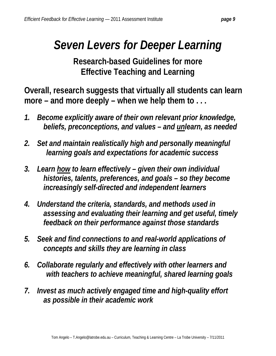### *Seven Levers for Deeper Learning*

**Research-based Guidelines for more Effective Teaching and Learning**

**Overall, research suggests that virtually all students can learn more – and more deeply – when we help them to . . .** 

- *1. Become explicitly aware of their own relevant prior knowledge, beliefs, preconceptions, and values – and unlearn, as needed*
- *2. Set and maintain realistically high and personally meaningful learning goals and expectations for academic success*
- *3. Learn how to learn effectively given their own individual histories, talents, preferences, and goals – so they become increasingly self-directed and independent learners*
- *4. Understand the criteria, standards, and methods used in assessing and evaluating their learning and get useful, timely feedback on their performance against those standards*
- *5. Seek and find connections to and real-world applications of concepts and skills they are learning in class*
- *6. Collaborate regularly and effectively with other learners and with teachers to achieve meaningful, shared learning goals*
- *7. Invest as much actively engaged time and high-quality effort as possible in their academic work*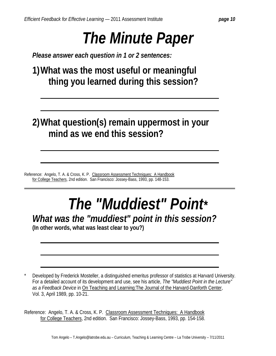# *The Minute Paper*

 *Please answer each question in 1 or 2 sentences:* 

 **1) What was the most useful or meaningful thing you learned during this session?** 

### **2) What question(s) remain uppermost in your mind as we end this session?**

Reference: Angelo, T. A. & Cross, K. P. Classroom Assessment Techniques: A Handbook for College Teachers, 2nd edition. San Francisco: Jossey-Bass, 1993, pp. 148-153.

# *The "Muddiest" Point\**

*<i>What was the "muddiest" point in this session?* (In other words, what was least clear to you?)

Developed by Frederick Mosteller, a distinguished emeritus professor of statistics at Harvard University. For a detailed account of its development and use, see his article, *The "Muddiest Point in the Lecture" as a Feedback Device* in On Teaching and Learning:The Journal of the Harvard-Danforth Center, Vol. 3, April 1989, pp. 10-21.

Reference: Angelo, T. A. & Cross, K. P. Classroom Assessment Techniques: A Handbook for College Teachers, 2nd edition. San Francisco: Jossey-Bass, 1993, pp. 154-158.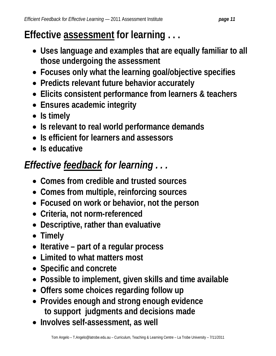### **Effective assessment for learning . . .**

- **Uses language and examples that are equally familiar to all those undergoing the assessment**
- **Focuses only what the learning goal/objective specifies**
- **Predicts relevant future behavior accurately**
- **Elicits consistent performance from learners & teachers**
- **Ensures academic integrity**
- **Is timely**
- **Is relevant to real world performance demands**
- **Is efficient for learners and assessors**
- **Is educative**

### *Effective feedback for learning . . .*

- **Comes from credible and trusted sources**
- **Comes from multiple, reinforcing sources**
- **Focused on work or behavior, not the person**
- **Criteria, not norm-referenced**
- **Descriptive, rather than evaluative**
- **Timely**
- **Iterative part of a regular process**
- **Limited to what matters most**
- **Specific and concrete**
- **Possible to implement, given skills and time available**
- **Offers some choices regarding follow up**
- **Provides enough and strong enough evidence to support judgments and decisions made**
- **Involves self-assessment, as well**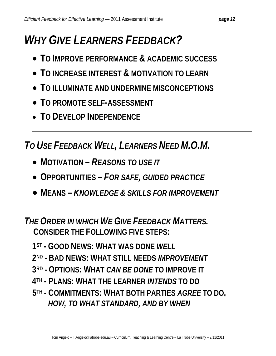## *WHY GIVE LEARNERS FEEDBACK?*

- **TO IMPROVE PERFORMANCE & ACADEMIC SUCCESS**
- **TO INCREASE INTEREST & MOTIVATION TO LEARN**
- **TO ILLUMINATE AND UNDERMINE MISCONCEPTIONS**
- **TO PROMOTE SELF-ASSESSMENT**
- **TO DEVELOP INDEPENDENCE**

*TO USE FEEDBACK WELL, LEARNERS NEED M.O.M.* 

- **MOTIVATION –** *REASONS TO USE IT*
- **OPPORTUNITIES –** *FOR SAFE, GUIDED PRACTICE*
- **MEANS –** *KNOWLEDGE & SKILLS FOR IMPROVEMENT*

*THE ORDER IN WHICH WE GIVE FEEDBACK MATTERS.*   **CONSIDER THE FOLLOWING FIVE STEPS:** 

- **1ST - GOOD NEWS: WHAT WAS DONE** *WELL*
- **2ND - BAD NEWS: WHAT STILL NEEDS** *IMPROVEMENT*
- **3RD - OPTIONS: WHAT** *CAN BE DONE* **TO IMPROVE IT**
- **4TH - PLANS: WHAT THE LEARNER** *INTENDS* **TO DO**
- **5TH - COMMITMENTS: WHAT BOTH PARTIES** *AGREE* **TO DO,**   *HOW, TO WHAT STANDARD, AND BY WHEN*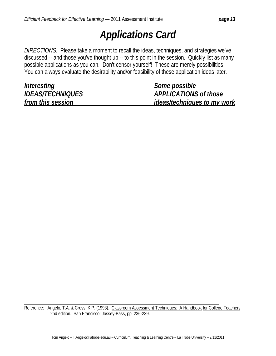### *Applications Card*

*DIRECTIONS:* Please take a moment to recall the ideas, techniques, and strategies we've discussed -- and those you've thought up -- to this point in the session. Quickly list as many possible applications as you can. Don't censor yourself! These are merely possibilities. You can always evaluate the desirability and/or feasibility of these application ideas later.

| Interesting             | <i>Some possible</i>               |
|-------------------------|------------------------------------|
| <b>IDEAS/TECHNIQUES</b> | <b>APPLICATIONS of those</b>       |
| from this session       | <i>ideas/techniques to my work</i> |

Reference: Angelo, T.A. & Cross, K.P. (1993). Classroom Assessment Techniques: A Handbook for College Teachers, 2nd edition. San Francisco: Jossey-Bass, pp. 236-239.

 $\overline{a}$